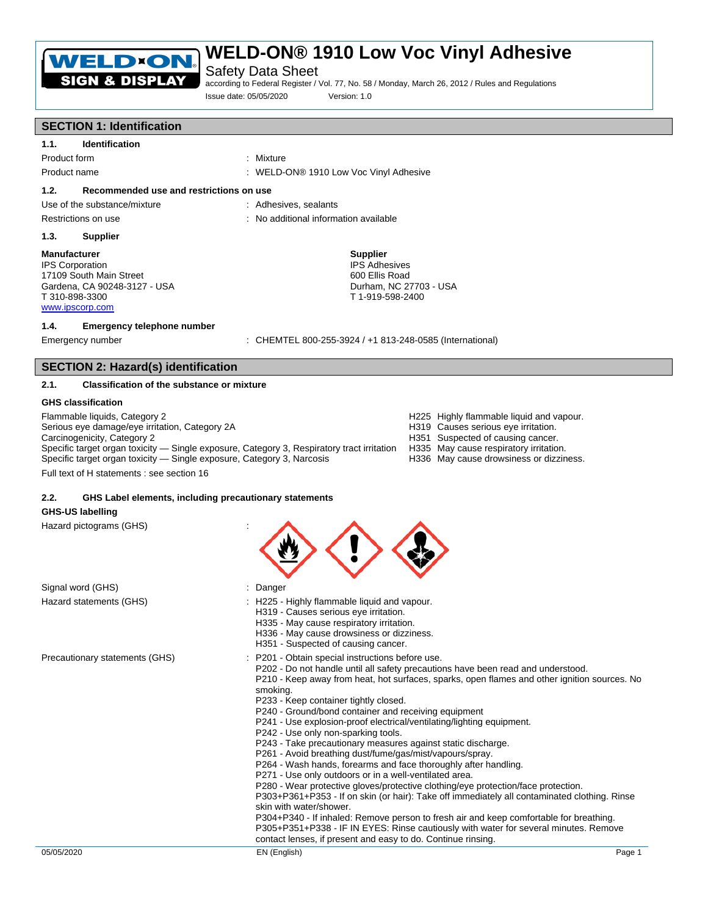

Safety Data Sheet

according to Federal Register / Vol. 77, No. 58 / Monday, March 26, 2012 / Rules and Regulations Issue date: 05/05/2020 Version: 1.0

## **SECTION 1: Identification**

**1.1. Identification** 

Product form : Mixture : Mixture

Product name : WELD-ON® 1910 Low Voc Vinyl Adhesive

## **1.2. Recommended use and restrictions on use**

Use of the substance/mixture : Adhesives, sealants

- 
- Restrictions on use **intervalse in the contract of the CO** intervalse information available

## **1.3. Supplier**

#### **Manufacturer**

IPS Corporation 17109 South Main Street Gardena, CA 90248-3127 - USA T 310-898-3300 www.ipscorp.com

### **1.4. Emergency telephone number**

Emergency number : CHEMTEL 800-255-3924 / +1 813-248-0585 (International)

Durham, NC 27703 - USA T 1-919-598-2400

**Supplier** IPS Adhesives 600 Ellis Road

## **SECTION 2: Hazard(s) identification**

## **2.1. Classification of the substance or mixture**

### **GHS classification**

Flammable liquids, Category 2 **And Category 2 Highly flammable liquid and vapour.**<br>Serious eye damage/eye irritation, Category 2A **And Category 24** H319 Causes serious eye irritation. Serious eye damage/eye irritation, Category 2A<br>Carcinogenicity, Category 2 Specific target organ toxicity — Single exposure, Category 3, Respiratory tract irritation H335 May cause respiratory irritation.<br>Specific target organ toxicity — Single exposure, Category 3, Narcosis Bay and H336 May caus Specific target organ toxicity — Single exposure, Category 3, Narcosis

- 
- 
- H351 Suspected of causing cancer.
- 
- 

Full text of H statements : see section 16

## **2.2. GHS Label elements, including precautionary statements**

## **GHS-US labelling**

Hazard pictograms (GHS) :

| Signal word (GHS)              | Danger                                                                                                                                                                                                                                                                                                                                                                                                                                                                                                                                                                                                                                                                                                                                                                                                                                                                                                                                                                                                                                                                                                                                                                                     |
|--------------------------------|--------------------------------------------------------------------------------------------------------------------------------------------------------------------------------------------------------------------------------------------------------------------------------------------------------------------------------------------------------------------------------------------------------------------------------------------------------------------------------------------------------------------------------------------------------------------------------------------------------------------------------------------------------------------------------------------------------------------------------------------------------------------------------------------------------------------------------------------------------------------------------------------------------------------------------------------------------------------------------------------------------------------------------------------------------------------------------------------------------------------------------------------------------------------------------------------|
| Hazard statements (GHS)        | : H225 - Highly flammable liquid and vapour.<br>H319 - Causes serious eye irritation.<br>H335 - May cause respiratory irritation.<br>H336 - May cause drowsiness or dizziness.<br>H351 - Suspected of causing cancer.                                                                                                                                                                                                                                                                                                                                                                                                                                                                                                                                                                                                                                                                                                                                                                                                                                                                                                                                                                      |
| Precautionary statements (GHS) | P201 - Obtain special instructions before use.<br>P202 - Do not handle until all safety precautions have been read and understood.<br>P210 - Keep away from heat, hot surfaces, sparks, open flames and other ignition sources. No<br>smoking.<br>P233 - Keep container tightly closed.<br>P240 - Ground/bond container and receiving equipment<br>P241 - Use explosion-proof electrical/ventilating/lighting equipment.<br>P242 - Use only non-sparking tools.<br>P243 - Take precautionary measures against static discharge.<br>P261 - Avoid breathing dust/fume/gas/mist/vapours/spray.<br>P264 - Wash hands, forearms and face thoroughly after handling.<br>P271 - Use only outdoors or in a well-ventilated area.<br>P280 - Wear protective gloves/protective clothing/eye protection/face protection.<br>P303+P361+P353 - If on skin (or hair): Take off immediately all contaminated clothing. Rinse<br>skin with water/shower.<br>P304+P340 - If inhaled: Remove person to fresh air and keep comfortable for breathing.<br>P305+P351+P338 - IF IN EYES: Rinse cautiously with water for several minutes. Remove<br>contact lenses, if present and easy to do. Continue rinsing. |
| 05/05/2020                     | EN (English)<br>Page 1                                                                                                                                                                                                                                                                                                                                                                                                                                                                                                                                                                                                                                                                                                                                                                                                                                                                                                                                                                                                                                                                                                                                                                     |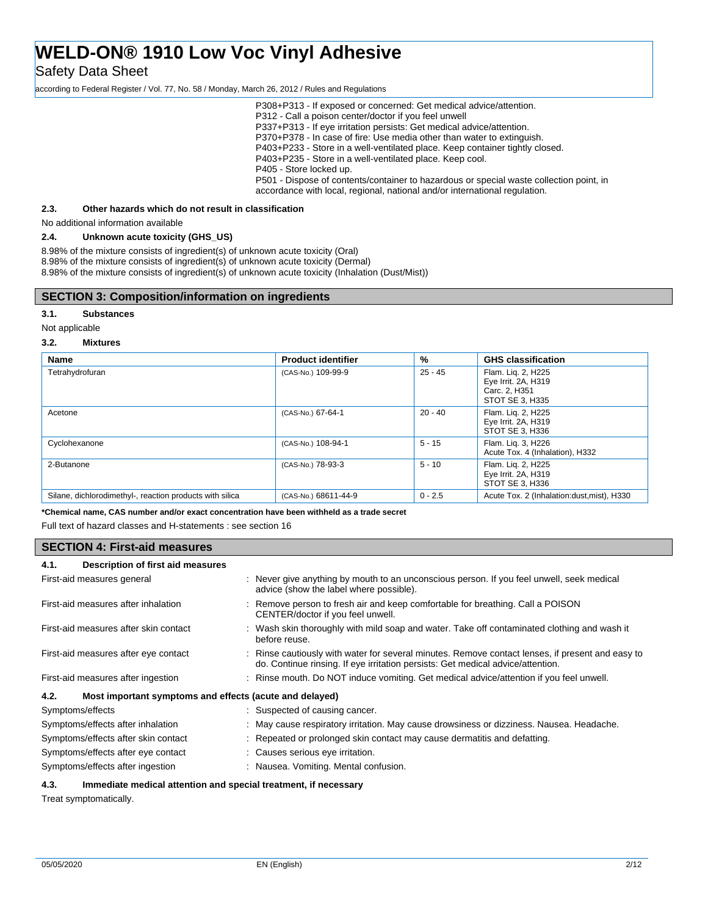Safety Data Sheet

according to Federal Register / Vol. 77, No. 58 / Monday, March 26, 2012 / Rules and Regulations

P308+P313 - If exposed or concerned: Get medical advice/attention. P312 - Call a poison center/doctor if you feel unwell P337+P313 - If eye irritation persists: Get medical advice/attention. P370+P378 - In case of fire: Use media other than water to extinguish. P403+P233 - Store in a well-ventilated place. Keep container tightly closed. P403+P235 - Store in a well-ventilated place. Keep cool. P405 - Store locked up. P501 - Dispose of contents/container to hazardous or special waste collection point, in accordance with local, regional, national and/or international regulation.

## **2.3. Other hazards which do not result in classification**

No additional information available

## **2.4. Unknown acute toxicity (GHS\_US)**

8.98% of the mixture consists of ingredient(s) of unknown acute toxicity (Oral) 8.98% of the mixture consists of ingredient(s) of unknown acute toxicity (Dermal) 8.98% of the mixture consists of ingredient(s) of unknown acute toxicity (Inhalation (Dust/Mist))

## **SECTION 3: Composition/information on ingredients**

#### **3.1. Substances**

#### Not applicable

#### **3.2. Mixtures**

| <b>Name</b>                                              | <b>Product identifier</b> | %         | <b>GHS classification</b>                                                     |
|----------------------------------------------------------|---------------------------|-----------|-------------------------------------------------------------------------------|
| Tetrahydrofuran                                          | (CAS-No.) 109-99-9        | $25 - 45$ | Flam. Lig. 2, H225<br>Eye Irrit. 2A, H319<br>Carc. 2, H351<br>STOT SE 3, H335 |
| Acetone                                                  | (CAS-No.) 67-64-1         | $20 - 40$ | Flam. Lig. 2, H225<br>Eye Irrit. 2A, H319<br>STOT SE 3. H336                  |
| Cyclohexanone                                            | (CAS-No.) 108-94-1        | $5 - 15$  | Flam. Lig. 3, H226<br>Acute Tox. 4 (Inhalation), H332                         |
| 2-Butanone                                               | (CAS-No.) 78-93-3         | $5 - 10$  | Flam. Liq. 2, H225<br>Eye Irrit. 2A, H319<br>STOT SE 3, H336                  |
| Silane, dichlorodimethyl-, reaction products with silica | (CAS-No.) 68611-44-9      | $0 - 2.5$ | Acute Tox. 2 (Inhalation:dust, mist), H330                                    |

**\*Chemical name, CAS number and/or exact concentration have been withheld as a trade secret**

Full text of hazard classes and H-statements : see section 16

## **SECTION 4: First-aid measures**

| Description of first aid measures<br>4.1.                       |                                                                                                                                                                                     |
|-----------------------------------------------------------------|-------------------------------------------------------------------------------------------------------------------------------------------------------------------------------------|
| First-aid measures general                                      | : Never give anything by mouth to an unconscious person. If you feel unwell, seek medical<br>advice (show the label where possible).                                                |
| First-aid measures after inhalation                             | : Remove person to fresh air and keep comfortable for breathing. Call a POISON<br>CENTER/doctor if you feel unwell.                                                                 |
| First-aid measures after skin contact                           | : Wash skin thoroughly with mild soap and water. Take off contaminated clothing and wash it<br>before reuse.                                                                        |
| First-aid measures after eye contact                            | : Rinse cautiously with water for several minutes. Remove contact lenses, if present and easy to<br>do. Continue rinsing. If eye irritation persists: Get medical advice/attention. |
| First-aid measures after ingestion                              | : Rinse mouth. Do NOT induce vomiting. Get medical advice/attention if you feel unwell.                                                                                             |
| Most important symptoms and effects (acute and delayed)<br>4.2. |                                                                                                                                                                                     |
| Symptoms/effects                                                | : Suspected of causing cancer.                                                                                                                                                      |
| Symptoms/effects after inhalation                               | : May cause respiratory irritation. May cause drowsiness or dizziness. Nausea. Headache.                                                                                            |
| Symptoms/effects after skin contact                             | : Repeated or prolonged skin contact may cause dermatitis and defatting.                                                                                                            |
| Symptoms/effects after eye contact                              | : Causes serious eye irritation.                                                                                                                                                    |
| Symptoms/effects after ingestion                                | : Nausea. Vomiting. Mental confusion.                                                                                                                                               |
|                                                                 |                                                                                                                                                                                     |

### **4.3. Immediate medical attention and special treatment, if necessary**

Treat symptomatically.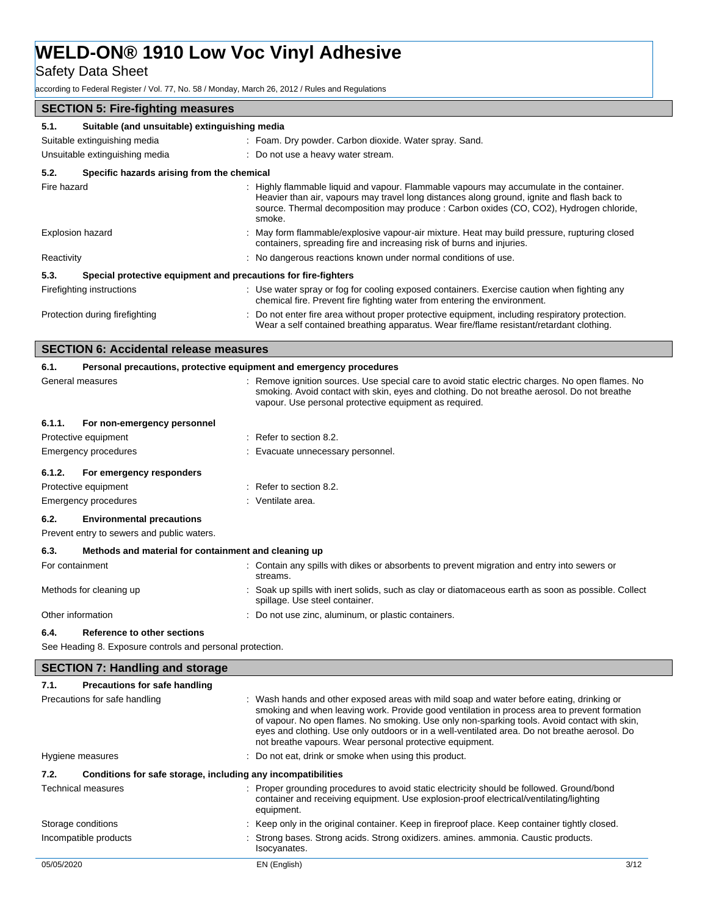**Safety Data Sheet** 

according to Federal Register / Vol. 77, No. 58 / Monday, March 26, 2012 / Rules and Regulations

| <b>SECTION 5: Fire-fighting measures</b>                               |                                                                                                                                                                                                                                                                                             |
|------------------------------------------------------------------------|---------------------------------------------------------------------------------------------------------------------------------------------------------------------------------------------------------------------------------------------------------------------------------------------|
| Suitable (and unsuitable) extinguishing media<br>5.1.                  |                                                                                                                                                                                                                                                                                             |
| Suitable extinguishing media                                           | : Foam. Dry powder. Carbon dioxide. Water spray. Sand.                                                                                                                                                                                                                                      |
| Unsuitable extinguishing media                                         | : Do not use a heavy water stream.                                                                                                                                                                                                                                                          |
| Specific hazards arising from the chemical<br>5.2.                     |                                                                                                                                                                                                                                                                                             |
| Fire hazard                                                            | : Highly flammable liquid and vapour. Flammable vapours may accumulate in the container.<br>Heavier than air, vapours may travel long distances along ground, ignite and flash back to<br>source. Thermal decomposition may produce : Carbon oxides (CO, CO2), Hydrogen chloride,<br>smoke. |
| <b>Explosion hazard</b>                                                | : May form flammable/explosive vapour-air mixture. Heat may build pressure, rupturing closed<br>containers, spreading fire and increasing risk of burns and injuries.                                                                                                                       |
| Reactivity                                                             | : No dangerous reactions known under normal conditions of use.                                                                                                                                                                                                                              |
| 5.3.<br>Special protective equipment and precautions for fire-fighters |                                                                                                                                                                                                                                                                                             |
| Firefighting instructions                                              | : Use water spray or fog for cooling exposed containers. Exercise caution when fighting any<br>chemical fire. Prevent fire fighting water from entering the environment.                                                                                                                    |
| Protection during firefighting                                         | : Do not enter fire area without proper protective equipment, including respiratory protection.<br>Wear a self contained breathing apparatus. Wear fire/flame resistant/retardant clothing.                                                                                                 |
| <b>SECTION 6: Accidental release measures</b>                          |                                                                                                                                                                                                                                                                                             |

| 6.1.   | Personal precautions, protective equipment and emergency procedures |                                                                                                                                                                                                                                                           |
|--------|---------------------------------------------------------------------|-----------------------------------------------------------------------------------------------------------------------------------------------------------------------------------------------------------------------------------------------------------|
|        | General measures                                                    | : Remove ignition sources. Use special care to avoid static electric charges. No open flames. No<br>smoking. Avoid contact with skin, eyes and clothing. Do not breathe aerosol. Do not breathe<br>vapour. Use personal protective equipment as required. |
| 6.1.1. | For non-emergency personnel                                         |                                                                                                                                                                                                                                                           |
|        | Protective equipment                                                | $:$ Refer to section 8.2.                                                                                                                                                                                                                                 |
|        | Emergency procedures                                                | : Evacuate unnecessary personnel.                                                                                                                                                                                                                         |
| 6.1.2. | For emergency responders                                            |                                                                                                                                                                                                                                                           |
|        | Protective equipment                                                | $:$ Refer to section 8.2.                                                                                                                                                                                                                                 |
|        | Emergency procedures                                                | : Ventilate area.                                                                                                                                                                                                                                         |
| 6.2.   | <b>Environmental precautions</b>                                    |                                                                                                                                                                                                                                                           |
|        | Prevent entry to sewers and public waters.                          |                                                                                                                                                                                                                                                           |
| 6.3.   | Methods and material for containment and cleaning up                |                                                                                                                                                                                                                                                           |
|        | For containment                                                     | : Contain any spills with dikes or absorbents to prevent migration and entry into sewers or<br>streams.                                                                                                                                                   |
|        | Methods for cleaning up                                             | Soak up spills with inert solids, such as clay or diatomaceous earth as soon as possible. Collect<br>spillage. Use steel container.                                                                                                                       |
|        | Other information                                                   | : Do not use zinc, aluminum, or plastic containers.                                                                                                                                                                                                       |

### **6.4. Reference to other sections**

See Heading 8. Exposure controls and personal protection.

## **SECTION 7: Handling and storage**

## **7.1. Precautions for safe handling**

| Precautions for safe handling                                        | : Wash hands and other exposed areas with mild soap and water before eating, drinking or<br>smoking and when leaving work. Provide good ventilation in process area to prevent formation<br>of vapour. No open flames. No smoking. Use only non-sparking tools. Avoid contact with skin,<br>eyes and clothing. Use only outdoors or in a well-ventilated area. Do not breathe aerosol. Do<br>not breathe vapours. Wear personal protective equipment. |      |
|----------------------------------------------------------------------|-------------------------------------------------------------------------------------------------------------------------------------------------------------------------------------------------------------------------------------------------------------------------------------------------------------------------------------------------------------------------------------------------------------------------------------------------------|------|
| Hygiene measures                                                     | : Do not eat, drink or smoke when using this product.                                                                                                                                                                                                                                                                                                                                                                                                 |      |
| Conditions for safe storage, including any incompatibilities<br>7.2. |                                                                                                                                                                                                                                                                                                                                                                                                                                                       |      |
| Technical measures                                                   | : Proper grounding procedures to avoid static electricity should be followed. Ground/bond<br>container and receiving equipment. Use explosion-proof electrical/ventilating/lighting<br>equipment.                                                                                                                                                                                                                                                     |      |
| Storage conditions                                                   | : Keep only in the original container. Keep in fireproof place. Keep container tightly closed.                                                                                                                                                                                                                                                                                                                                                        |      |
| Incompatible products                                                | : Strong bases. Strong acids. Strong oxidizers. amines. ammonia. Caustic products.<br>Isocyanates.                                                                                                                                                                                                                                                                                                                                                    |      |
| 05/05/2020                                                           | EN (English)                                                                                                                                                                                                                                                                                                                                                                                                                                          | 3/12 |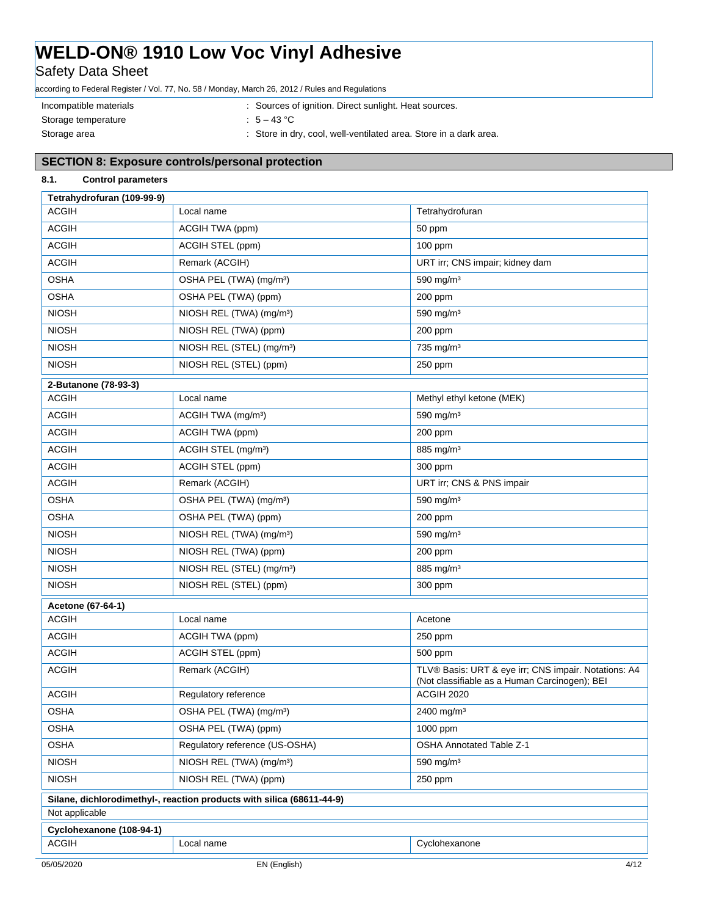**Safety Data Sheet** 

according to Federal Register / Vol. 77, No. 58 / Monday, March 26, 2012 / Rules and Regulations

Storage temperature : 5 – 43 °C

Incompatible materials **incompatible materials** : Sources of ignition. Direct sunlight. Heat sources.

Storage area **in the state of the store in dry, cool, well-ventilated area. Store in a dark area.** 

## **SECTION 8: Exposure controls/personal protection**

## **8.1. Control parameters**

| Tetrahydrofuran (109-99-9) |                                                                       |                                                                                                       |
|----------------------------|-----------------------------------------------------------------------|-------------------------------------------------------------------------------------------------------|
| <b>ACGIH</b>               | Local name                                                            | Tetrahydrofuran                                                                                       |
| <b>ACGIH</b>               | ACGIH TWA (ppm)                                                       | 50 ppm                                                                                                |
| <b>ACGIH</b>               | ACGIH STEL (ppm)                                                      | $100$ ppm                                                                                             |
| <b>ACGIH</b>               | Remark (ACGIH)                                                        | URT irr; CNS impair; kidney dam                                                                       |
| <b>OSHA</b>                | OSHA PEL (TWA) (mg/m <sup>3</sup> )                                   | 590 mg/m $3$                                                                                          |
| <b>OSHA</b>                | OSHA PEL (TWA) (ppm)                                                  | 200 ppm                                                                                               |
| <b>NIOSH</b>               | NIOSH REL (TWA) (mg/m <sup>3</sup> )                                  | 590 mg/m $3$                                                                                          |
| <b>NIOSH</b>               | NIOSH REL (TWA) (ppm)                                                 | 200 ppm                                                                                               |
| <b>NIOSH</b>               | NIOSH REL (STEL) (mg/m <sup>3</sup> )                                 | 735 mg/m <sup>3</sup>                                                                                 |
| <b>NIOSH</b>               | NIOSH REL (STEL) (ppm)                                                | 250 ppm                                                                                               |
| 2-Butanone (78-93-3)       |                                                                       |                                                                                                       |
| <b>ACGIH</b>               | Local name                                                            | Methyl ethyl ketone (MEK)                                                                             |
| <b>ACGIH</b>               | ACGIH TWA (mg/m <sup>3</sup> )                                        | 590 mg/m <sup>3</sup>                                                                                 |
| <b>ACGIH</b>               | ACGIH TWA (ppm)                                                       | 200 ppm                                                                                               |
| <b>ACGIH</b>               | ACGIH STEL (mg/m <sup>3</sup> )                                       | 885 mg/m <sup>3</sup>                                                                                 |
| <b>ACGIH</b>               | ACGIH STEL (ppm)                                                      | 300 ppm                                                                                               |
| <b>ACGIH</b>               | Remark (ACGIH)                                                        | URT irr; CNS & PNS impair                                                                             |
| <b>OSHA</b>                | OSHA PEL (TWA) (mg/m <sup>3</sup> )                                   | 590 mg/m <sup>3</sup>                                                                                 |
| <b>OSHA</b>                | OSHA PEL (TWA) (ppm)                                                  | 200 ppm                                                                                               |
| <b>NIOSH</b>               | NIOSH REL (TWA) (mg/m <sup>3</sup> )                                  | 590 mg/m $3$                                                                                          |
| <b>NIOSH</b>               | NIOSH REL (TWA) (ppm)                                                 | 200 ppm                                                                                               |
| <b>NIOSH</b>               | NIOSH REL (STEL) (mg/m <sup>3</sup> )                                 | 885 mg/m <sup>3</sup>                                                                                 |
| <b>NIOSH</b>               | NIOSH REL (STEL) (ppm)                                                | 300 ppm                                                                                               |
| Acetone (67-64-1)          |                                                                       |                                                                                                       |
| <b>ACGIH</b>               | Local name                                                            | Acetone                                                                                               |
| <b>ACGIH</b>               | ACGIH TWA (ppm)                                                       | 250 ppm                                                                                               |
| <b>ACGIH</b>               | ACGIH STEL (ppm)                                                      | 500 ppm                                                                                               |
| <b>ACGIH</b>               | Remark (ACGIH)                                                        | TLV® Basis: URT & eye irr; CNS impair. Notations: A4<br>(Not classifiable as a Human Carcinogen); BEI |
| <b>ACGIH</b>               | Regulatory reference                                                  | ACGIH 2020                                                                                            |
| <b>OSHA</b>                | OSHA PEL (TWA) (mg/m <sup>3</sup> )                                   | 2400 mg/m <sup>3</sup>                                                                                |
| <b>OSHA</b>                | OSHA PEL (TWA) (ppm)                                                  | 1000 ppm                                                                                              |
| <b>OSHA</b>                | Regulatory reference (US-OSHA)                                        | <b>OSHA Annotated Table Z-1</b>                                                                       |
| <b>NIOSH</b>               | NIOSH REL (TWA) (mg/m <sup>3</sup> )                                  | 590 mg/m <sup>3</sup>                                                                                 |
| <b>NIOSH</b>               | NIOSH REL (TWA) (ppm)                                                 | 250 ppm                                                                                               |
|                            | Silane, dichlorodimethyl-, reaction products with silica (68611-44-9) |                                                                                                       |
| Not applicable             |                                                                       |                                                                                                       |
| Cyclohexanone (108-94-1)   |                                                                       |                                                                                                       |
| <b>ACGIH</b>               | Local name                                                            | Cyclohexanone                                                                                         |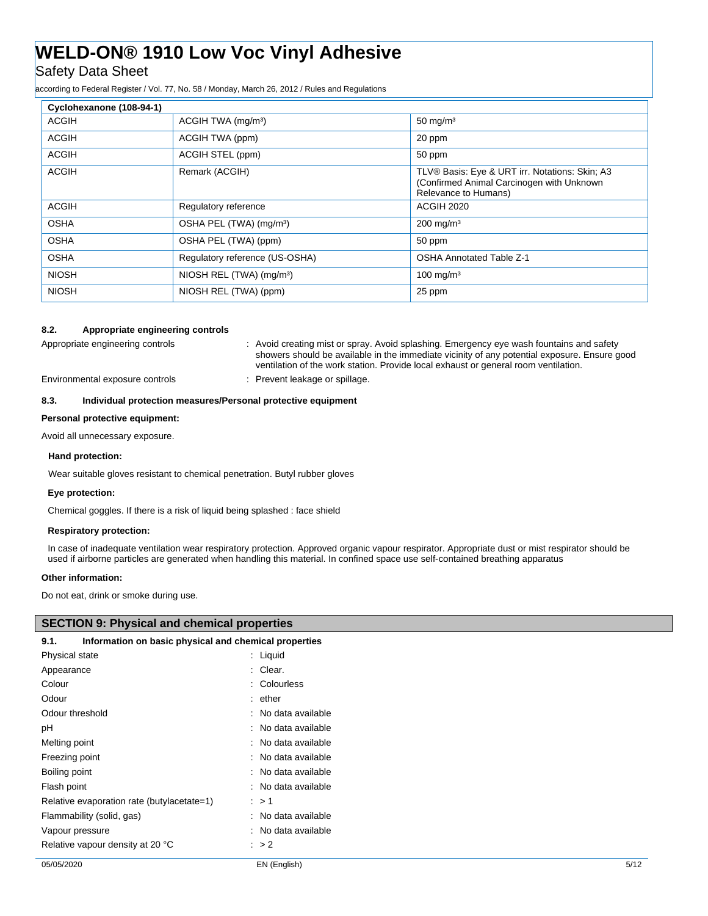## Safety Data Sheet

according to Federal Register / Vol. 77, No. 58 / Monday, March 26, 2012 / Rules and Regulations

| Cyclohexanone (108-94-1) |                                      |                                                                                                                     |
|--------------------------|--------------------------------------|---------------------------------------------------------------------------------------------------------------------|
| <b>ACGIH</b>             | ACGIH TWA (mg/m <sup>3</sup> )       | $50 \text{ mg/m}^3$                                                                                                 |
| <b>ACGIH</b>             | ACGIH TWA (ppm)                      | 20 ppm                                                                                                              |
| <b>ACGIH</b>             | ACGIH STEL (ppm)                     | 50 ppm                                                                                                              |
| <b>ACGIH</b>             | Remark (ACGIH)                       | TLV® Basis: Eye & URT irr. Notations: Skin; A3<br>(Confirmed Animal Carcinogen with Unknown<br>Relevance to Humans) |
| <b>ACGIH</b>             | Regulatory reference                 | <b>ACGIH 2020</b>                                                                                                   |
| <b>OSHA</b>              | OSHA PEL (TWA) (mg/m <sup>3</sup> )  | $200 \text{ mg/m}^3$                                                                                                |
| <b>OSHA</b>              | OSHA PEL (TWA) (ppm)                 | 50 ppm                                                                                                              |
| <b>OSHA</b>              | Regulatory reference (US-OSHA)       | <b>OSHA Annotated Table Z-1</b>                                                                                     |
| <b>NIOSH</b>             | NIOSH REL (TWA) (mg/m <sup>3</sup> ) | $100$ mg/m <sup>3</sup>                                                                                             |
| <b>NIOSH</b>             | NIOSH REL (TWA) (ppm)                | 25 ppm                                                                                                              |

## **8.2. Appropriate engineering controls**

Appropriate engineering controls **intercational creational creating** mist or spray. Avoid splashing. Emergency eye wash fountains and safety showers should be available in the immediate vicinity of any potential exposure. Ensure good ventilation of the work station. Provide local exhaust or general room ventilation.

Environmental exposure controls : Prevent leakage or spillage.

## **8.3. Individual protection measures/Personal protective equipment**

## **Personal protective equipment:**

Avoid all unnecessary exposure.

## **Hand protection:**

Wear suitable gloves resistant to chemical penetration. Butyl rubber gloves

### **Eye protection:**

Chemical goggles. If there is a risk of liquid being splashed : face shield

## **Respiratory protection:**

In case of inadequate ventilation wear respiratory protection. Approved organic vapour respirator. Appropriate dust or mist respirator should be used if airborne particles are generated when handling this material. In confined space use self-contained breathing apparatus

## **Other information:**

 $\overline{\phantom{a}}$ 

Do not eat, drink or smoke during use.

| <b>SECTION 9: Physical and chemical properties</b>            |                     |
|---------------------------------------------------------------|---------------------|
| Information on basic physical and chemical properties<br>9.1. |                     |
| <b>Physical state</b>                                         | : Liquid            |
| Appearance                                                    | : Clear.            |
| Colour                                                        | : Colourless        |
| Odour                                                         | $:$ ether           |
| Odour threshold                                               | : No data available |
| рH                                                            | : No data available |
| Melting point                                                 | : No data available |
| Freezing point                                                | : No data available |
| Boiling point                                                 | : No data available |
| Flash point                                                   | : No data available |
| Relative evaporation rate (butylacetate=1)                    | $\therefore$ > 1    |
| Flammability (solid, gas)                                     | : No data available |
| Vapour pressure                                               | : No data available |
| Relative vapour density at 20 °C                              | $\therefore$ > 2    |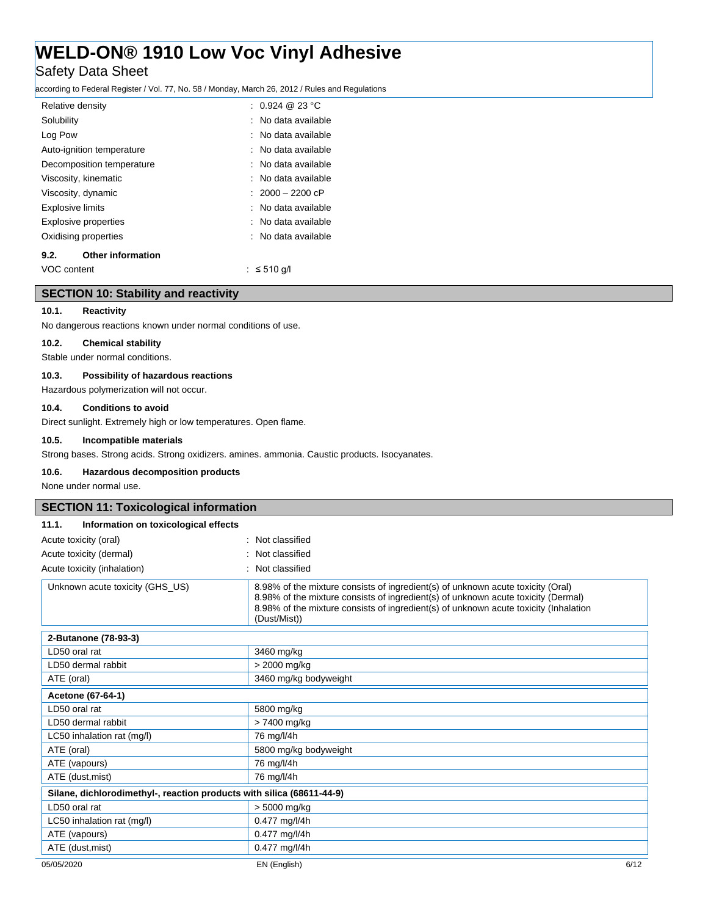## **Safety Data Sheet**

according to Federal Register / Vol. 77, No. 58 / Monday, March 26, 2012 / Rules and Regulations

| Relative density        |                             | : $0.924 \ @ \ 23 \degree C$ |
|-------------------------|-----------------------------|------------------------------|
| Solubility              |                             | : No data available          |
| Log Pow                 |                             | : No data available          |
|                         | Auto-ignition temperature   | : No data available          |
|                         | Decomposition temperature   | : No data available          |
|                         | Viscosity, kinematic        | : No data available          |
| Viscosity, dynamic      |                             | $: 2000 - 2200$ cP           |
| <b>Explosive limits</b> |                             | : No data available          |
|                         | <b>Explosive properties</b> | : No data available          |
|                         | Oxidising properties        | : No data available          |
| 9.2.                    | <b>Other information</b>    |                              |
| VOC content             |                             | $\therefore$ ≤ 510 g/l       |

## **SECTION 10: Stability and reactivity**

## **10.1. Reactivity**

No dangerous reactions known under normal conditions of use.

#### **10.2. Chemical stability**

Stable under normal conditions.

## **10.3. Possibility of hazardous reactions**

Hazardous polymerization will not occur.

## **10.4. Conditions to avoid**

Direct sunlight. Extremely high or low temperatures. Open flame.

## **10.5. Incompatible materials**

Strong bases. Strong acids. Strong oxidizers. amines. ammonia. Caustic products. Isocyanates.

## **10.6. Hazardous decomposition products**

None under normal use.

| <b>SECTION 11: Toxicological information</b>                          |                                                                                                                                                                                                                                                                              |      |
|-----------------------------------------------------------------------|------------------------------------------------------------------------------------------------------------------------------------------------------------------------------------------------------------------------------------------------------------------------------|------|
| 11.1.<br>Information on toxicological effects                         |                                                                                                                                                                                                                                                                              |      |
| Acute toxicity (oral)                                                 | : Not classified                                                                                                                                                                                                                                                             |      |
| Acute toxicity (dermal)                                               | : Not classified                                                                                                                                                                                                                                                             |      |
| Acute toxicity (inhalation)                                           | : Not classified                                                                                                                                                                                                                                                             |      |
| Unknown acute toxicity (GHS US)                                       | 8.98% of the mixture consists of ingredient(s) of unknown acute toxicity (Oral)<br>8.98% of the mixture consists of ingredient(s) of unknown acute toxicity (Dermal)<br>8.98% of the mixture consists of ingredient(s) of unknown acute toxicity (Inhalation<br>(Dust/Mist)) |      |
| 2-Butanone (78-93-3)                                                  |                                                                                                                                                                                                                                                                              |      |
| LD50 oral rat                                                         | 3460 mg/kg                                                                                                                                                                                                                                                                   |      |
| LD50 dermal rabbit                                                    | > 2000 mg/kg                                                                                                                                                                                                                                                                 |      |
| ATE (oral)                                                            | 3460 mg/kg bodyweight                                                                                                                                                                                                                                                        |      |
| Acetone (67-64-1)                                                     |                                                                                                                                                                                                                                                                              |      |
| LD50 oral rat                                                         | 5800 mg/kg                                                                                                                                                                                                                                                                   |      |
| LD50 dermal rabbit                                                    | > 7400 mg/kg                                                                                                                                                                                                                                                                 |      |
| LC50 inhalation rat (mg/l)                                            | 76 mg/l/4h                                                                                                                                                                                                                                                                   |      |
| ATE (oral)                                                            | 5800 mg/kg bodyweight                                                                                                                                                                                                                                                        |      |
| ATE (vapours)                                                         | 76 mg/l/4h                                                                                                                                                                                                                                                                   |      |
| ATE (dust, mist)                                                      | 76 mg/l/4h                                                                                                                                                                                                                                                                   |      |
| Silane, dichlorodimethyl-, reaction products with silica (68611-44-9) |                                                                                                                                                                                                                                                                              |      |
| LD50 oral rat                                                         | > 5000 mg/kg                                                                                                                                                                                                                                                                 |      |
| LC50 inhalation rat (mg/l)                                            | 0.477 mg/l/4h                                                                                                                                                                                                                                                                |      |
| ATE (vapours)                                                         | 0.477 mg/l/4h                                                                                                                                                                                                                                                                |      |
| ATE (dust, mist)                                                      | 0.477 mg/l/4h                                                                                                                                                                                                                                                                |      |
| 05/05/2020                                                            | EN (English)                                                                                                                                                                                                                                                                 | 6/12 |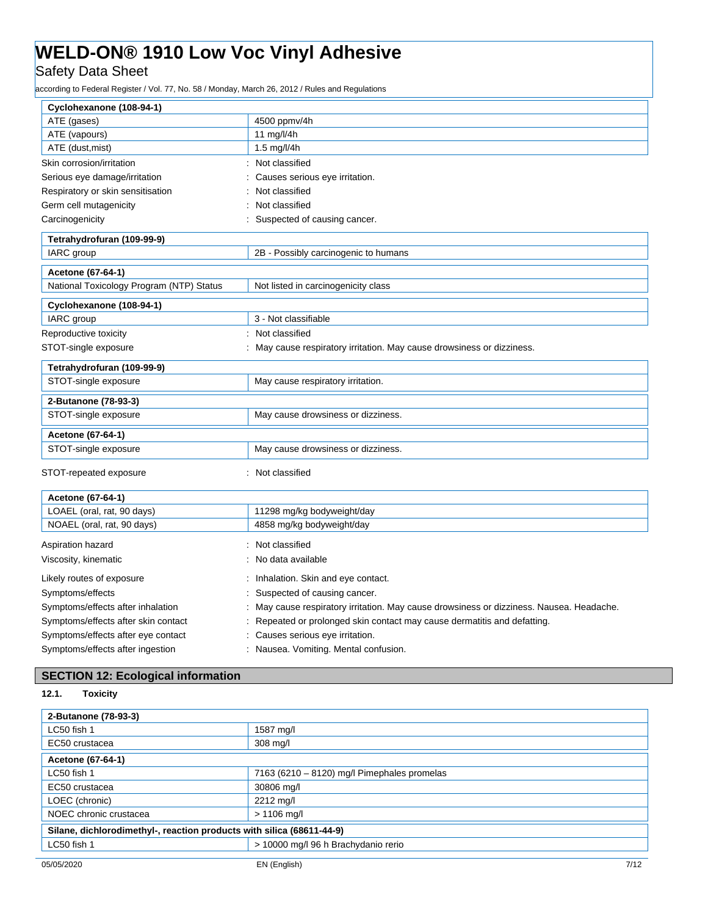Safety Data Sheet

according to Federal Register / Vol. 77, No. 58 / Monday, March 26, 2012 / Rules and Regulations

| Cyclohexanone (108-94-1)                 |                                                                      |
|------------------------------------------|----------------------------------------------------------------------|
| ATE (gases)                              | 4500 ppmv/4h                                                         |
| ATE (vapours)                            | 11 mg/l/4h                                                           |
| ATE (dust, mist)                         | 1.5 $mg/l/4h$                                                        |
| Skin corrosion/irritation                | Not classified                                                       |
| Serious eye damage/irritation            | Causes serious eye irritation.                                       |
| Respiratory or skin sensitisation        | Not classified                                                       |
| Germ cell mutagenicity                   | Not classified                                                       |
| Carcinogenicity                          | Suspected of causing cancer.                                         |
| Tetrahydrofuran (109-99-9)               |                                                                      |
| IARC group                               | 2B - Possibly carcinogenic to humans                                 |
| Acetone (67-64-1)                        |                                                                      |
| National Toxicology Program (NTP) Status | Not listed in carcinogenicity class                                  |
| Cyclohexanone (108-94-1)                 |                                                                      |
|                                          |                                                                      |
| IARC group                               | 3 - Not classifiable                                                 |
| Reproductive toxicity                    | Not classified                                                       |
| STOT-single exposure                     | May cause respiratory irritation. May cause drowsiness or dizziness. |
| Tetrahydrofuran (109-99-9)               |                                                                      |
| STOT-single exposure                     | May cause respiratory irritation.                                    |
| 2-Butanone (78-93-3)                     |                                                                      |
| STOT-single exposure                     | May cause drowsiness or dizziness.                                   |
| Acetone (67-64-1)                        |                                                                      |
| STOT-single exposure                     | May cause drowsiness or dizziness.                                   |

| Acetone (67-64-1)                   |                                                                                          |
|-------------------------------------|------------------------------------------------------------------------------------------|
| LOAEL (oral, rat, 90 days)          | 11298 mg/kg bodyweight/day                                                               |
| NOAEL (oral, rat, 90 days)          | 4858 mg/kg bodyweight/day                                                                |
| Aspiration hazard                   | : Not classified                                                                         |
| Viscosity, kinematic                | : No data available                                                                      |
| Likely routes of exposure           | : Inhalation. Skin and eye contact.                                                      |
| Symptoms/effects                    | : Suspected of causing cancer.                                                           |
| Symptoms/effects after inhalation   | : May cause respiratory irritation. May cause drowsiness or dizziness. Nausea. Headache. |
| Symptoms/effects after skin contact | : Repeated or prolonged skin contact may cause dermatitis and defatting.                 |
| Symptoms/effects after eye contact  | : Causes serious eye irritation.                                                         |
| Symptoms/effects after ingestion    | : Nausea. Vomiting. Mental confusion.                                                    |

## **SECTION 12: Ecological information**

## **12.1. Toxicity**

| 2-Butanone (78-93-3)                                                  |                                             |  |
|-----------------------------------------------------------------------|---------------------------------------------|--|
| LC50 fish 1                                                           | 1587 mg/l                                   |  |
| EC50 crustacea                                                        | $308 \text{ mg/l}$                          |  |
| Acetone (67-64-1)                                                     |                                             |  |
| LC50 fish 1                                                           | 7163 (6210 - 8120) mg/l Pimephales promelas |  |
| EC50 crustacea                                                        | 30806 mg/l                                  |  |
| LOEC (chronic)                                                        | 2212 mg/l                                   |  |
| NOEC chronic crustacea                                                | $> 1106$ mg/l                               |  |
| Silane, dichlorodimethyl-, reaction products with silica (68611-44-9) |                                             |  |
| LC50 fish 1                                                           | > 10000 mg/l 96 h Brachydanio rerio         |  |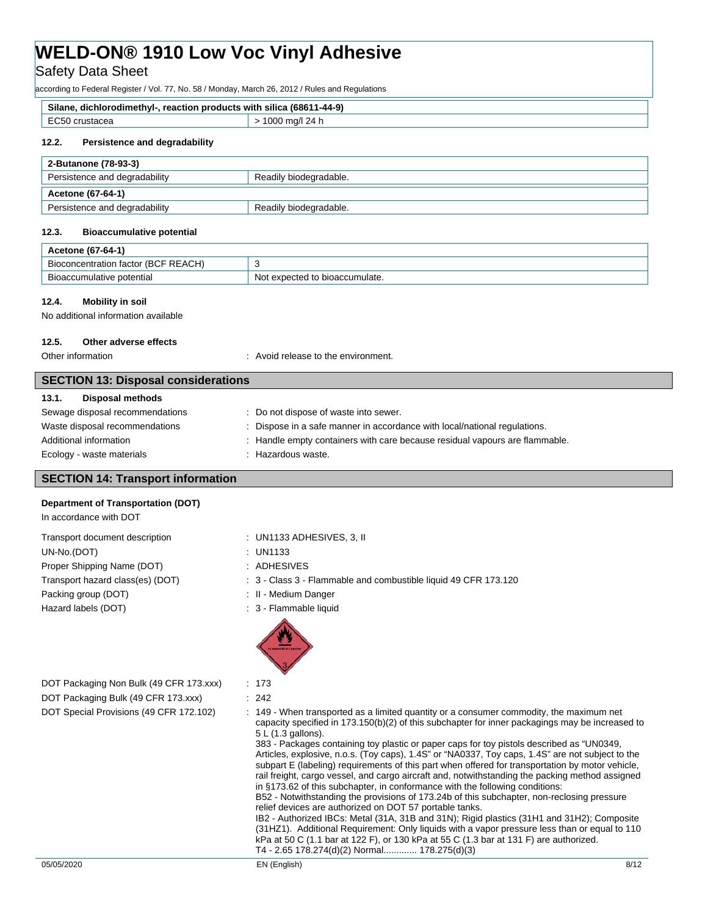Safety Data Sheet

according to Federal Register / Vol. 77, No. 58 / Monday, March 26, 2012 / Rules and Regulations

| Silane.<br>⊦silica (68611<br>(44-9-1<br>, reaction products with<br>dichlorodimethvl- |        |
|---------------------------------------------------------------------------------------|--------|
| ECEO                                                                                  | 24 n   |
| crustacea                                                                             | 1 UU U |
| $\sim$                                                                                |        |

## **12.2. Persistence and degradability**

| 2-Butanone (78-93-3)          |                        |  |
|-------------------------------|------------------------|--|
| Persistence and degradability | Readily biodegradable. |  |
| Acetone (67-64-1)             |                        |  |
|                               |                        |  |

### **12.3. Bioaccumulative potential**

| Acetone (67-64-1)                               |                                |  |
|-------------------------------------------------|--------------------------------|--|
| concentration factor (BCF REACH)<br><b>Bioc</b> |                                |  |
| Bioaccumulative potential                       | Not expected to bioaccumulate. |  |

### **12.4. Mobility in soil**

No additional information available

## **12.5. Other adverse effects**

Other information  $\qquad \qquad$ : Avoid release to the environment.

| <b>SECTION 13: Disposal considerations</b> |                                                                             |  |
|--------------------------------------------|-----------------------------------------------------------------------------|--|
| Disposal methods<br>13.1.                  |                                                                             |  |
| Sewage disposal recommendations            | : Do not dispose of waste into sewer.                                       |  |
| Waste disposal recommendations             | Dispose in a safe manner in accordance with local/national regulations.     |  |
| Additional information                     | : Handle empty containers with care because residual vapours are flammable. |  |
| Ecology - waste materials                  | Hazardous waste.                                                            |  |

## **SECTION 14: Transport information**

### **Department of Transportation (DOT)**

In accordance with DOT Transport document description : UN1133 ADHESIVES, 3, II UN-No.(DOT) : UN1133

Proper Shipping Name (DOT) : ADHESIVES Packing group (DOT)  $\qquad \qquad$ : II - Medium Danger Hazard labels (DOT) : 3 - Flammable liquid

- 
- 
- Transport hazard class(es) (DOT) : 3 Class 3 Flammable and combustible liquid 49 CFR 173.120
	-
	-



DOT Packaging Non Bulk (49 CFR 173.xxx) : 173 DOT Packaging Bulk (49 CFR 173.xxx) : 242

DOT Special Provisions (49 CFR 172.102) : 149 - When transported as a limited quantity or a consumer commodity, the maximum net capacity specified in 173.150(b)(2) of this subchapter for inner packagings may be increased to 5 L (1.3 gallons).

383 - Packages containing toy plastic or paper caps for toy pistols described as "UN0349, Articles, explosive, n.o.s. (Toy caps), 1.4S" or "NA0337, Toy caps, 1.4S" are not subject to the subpart E (labeling) requirements of this part when offered for transportation by motor vehicle, rail freight, cargo vessel, and cargo aircraft and, notwithstanding the packing method assigned in §173.62 of this subchapter, in conformance with the following conditions:

B52 - Notwithstanding the provisions of 173.24b of this subchapter, non-reclosing pressure relief devices are authorized on DOT 57 portable tanks.

IB2 - Authorized IBCs: Metal (31A, 31B and 31N); Rigid plastics (31H1 and 31H2); Composite (31HZ1). Additional Requirement: Only liquids with a vapor pressure less than or equal to 110 kPa at 50 C (1.1 bar at 122 F), or 130 kPa at 55 C (1.3 bar at 131 F) are authorized. T4 - 2.65 178.274(d)(2) Normal............. 178.275(d)(3)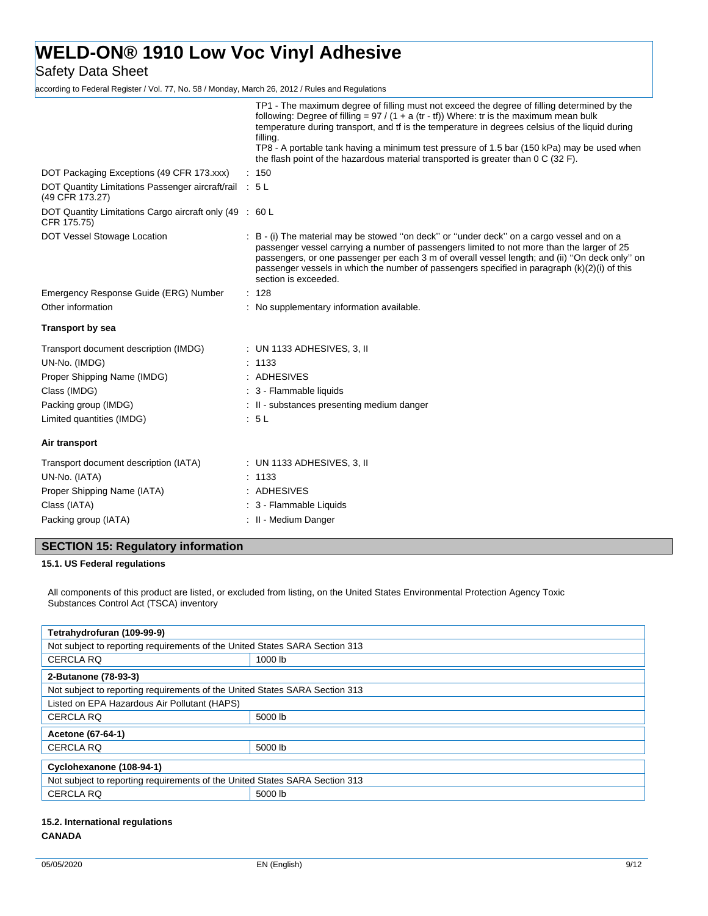Safety Data Sheet

according to Federal Register / Vol. 77, No. 58 / Monday, March 26, 2012 / Rules and Regulations

|                                                                           | TP1 - The maximum degree of filling must not exceed the degree of filling determined by the<br>following: Degree of filling = $97 / (1 + a (tr - tf))$ Where: tr is the maximum mean bulk<br>temperature during transport, and tf is the temperature in degrees celsius of the liquid during<br>filling.<br>TP8 - A portable tank having a minimum test pressure of 1.5 bar (150 kPa) may be used when<br>the flash point of the hazardous material transported is greater than 0 C (32 F). |
|---------------------------------------------------------------------------|---------------------------------------------------------------------------------------------------------------------------------------------------------------------------------------------------------------------------------------------------------------------------------------------------------------------------------------------------------------------------------------------------------------------------------------------------------------------------------------------|
| DOT Packaging Exceptions (49 CFR 173.xxx)                                 | : 150                                                                                                                                                                                                                                                                                                                                                                                                                                                                                       |
| DOT Quantity Limitations Passenger aircraft/rail : 5 L<br>(49 CFR 173.27) |                                                                                                                                                                                                                                                                                                                                                                                                                                                                                             |
| DOT Quantity Limitations Cargo aircraft only (49 : 60 L<br>CFR 175.75)    |                                                                                                                                                                                                                                                                                                                                                                                                                                                                                             |
| DOT Vessel Stowage Location                                               | : B - (i) The material may be stowed "on deck" or "under deck" on a cargo vessel and on a<br>passenger vessel carrying a number of passengers limited to not more than the larger of 25<br>passengers, or one passenger per each 3 m of overall vessel length; and (ii) "On deck only" on<br>passenger vessels in which the number of passengers specified in paragraph (k)(2)(i) of this<br>section is exceeded.                                                                           |
| Emergency Response Guide (ERG) Number                                     | : 128                                                                                                                                                                                                                                                                                                                                                                                                                                                                                       |
| Other information                                                         | : No supplementary information available.                                                                                                                                                                                                                                                                                                                                                                                                                                                   |
| <b>Transport by sea</b>                                                   |                                                                                                                                                                                                                                                                                                                                                                                                                                                                                             |
| Transport document description (IMDG)<br>UN-No. (IMDG)                    | $\therefore$ UN 1133 ADHESIVES, 3, II<br>: 1133                                                                                                                                                                                                                                                                                                                                                                                                                                             |
| Proper Shipping Name (IMDG)                                               | : ADHESIVES                                                                                                                                                                                                                                                                                                                                                                                                                                                                                 |
| Class (IMDG)                                                              | : 3 - Flammable liquids                                                                                                                                                                                                                                                                                                                                                                                                                                                                     |
| Packing group (IMDG)                                                      | : II - substances presenting medium danger                                                                                                                                                                                                                                                                                                                                                                                                                                                  |
| Limited quantities (IMDG)                                                 | : 5L                                                                                                                                                                                                                                                                                                                                                                                                                                                                                        |
| Air transport                                                             |                                                                                                                                                                                                                                                                                                                                                                                                                                                                                             |
| Transport document description (IATA)                                     | $\therefore$ UN 1133 ADHESIVES, 3, II                                                                                                                                                                                                                                                                                                                                                                                                                                                       |
| UN-No. (IATA)                                                             | : 1133                                                                                                                                                                                                                                                                                                                                                                                                                                                                                      |
| Proper Shipping Name (IATA)                                               | : ADHESIVES                                                                                                                                                                                                                                                                                                                                                                                                                                                                                 |
| Class (IATA)                                                              | : 3 - Flammable Liquids                                                                                                                                                                                                                                                                                                                                                                                                                                                                     |
| Packing group (IATA)                                                      | : II - Medium Danger                                                                                                                                                                                                                                                                                                                                                                                                                                                                        |
|                                                                           |                                                                                                                                                                                                                                                                                                                                                                                                                                                                                             |

## **SECTION 15: Regulatory information**

**15.1. US Federal regulations**

All components of this product are listed, or excluded from listing, on the United States Environmental Protection Agency Toxic Substances Control Act (TSCA) inventory

| Tetrahydrofuran (109-99-9)                                                  |         |  |  |
|-----------------------------------------------------------------------------|---------|--|--|
| Not subject to reporting requirements of the United States SARA Section 313 |         |  |  |
| <b>CERCLA RQ</b>                                                            | 1000 lb |  |  |
| 2-Butanone (78-93-3)                                                        |         |  |  |
| Not subject to reporting requirements of the United States SARA Section 313 |         |  |  |
| Listed on EPA Hazardous Air Pollutant (HAPS)                                |         |  |  |
| CERCLA RO                                                                   | 5000 lb |  |  |
| Acetone (67-64-1)                                                           |         |  |  |
| <b>CERCLA RQ</b>                                                            | 5000 lb |  |  |
| Cyclohexanone (108-94-1)                                                    |         |  |  |
| Not subject to reporting requirements of the United States SARA Section 313 |         |  |  |
| <b>CERCLA RQ</b><br>5000 lb                                                 |         |  |  |

## **15.2. International regulations CANADA**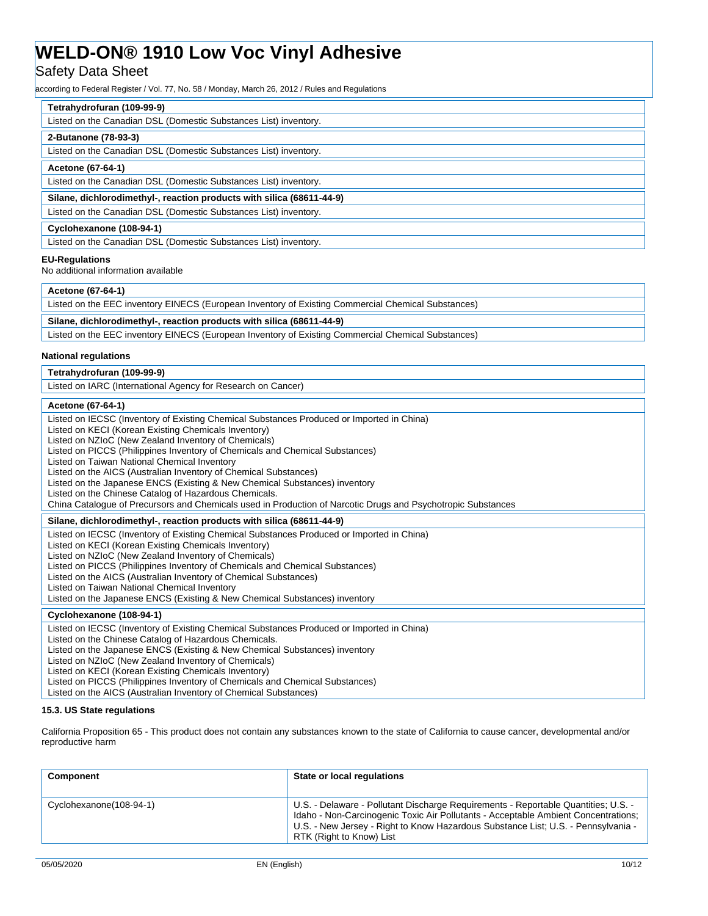## **Safety Data Sheet**

according to Federal Register / Vol. 77, No. 58 / Monday, March 26, 2012 / Rules and Regulations

| Tetrahydrofuran (109-99-9)                                            |
|-----------------------------------------------------------------------|
| Listed on the Canadian DSL (Domestic Substances List) inventory.      |
| 2-Butanone (78-93-3)                                                  |
| Listed on the Canadian DSL (Domestic Substances List) inventory.      |
| Acetone (67-64-1)                                                     |
| Listed on the Canadian DSL (Domestic Substances List) inventory.      |
| Silane, dichlorodimethyl-, reaction products with silica (68611-44-9) |
| Listed on the Canadian DSL (Domestic Substances List) inventory.      |
| Cyclohexanone (108-94-1)                                              |
| Listed on the Canadian DSL (Domestic Substances List) inventory.      |

### **EU-Regulations**

No additional information available

| Acetone (67-64-1) |  |
|-------------------|--|
|                   |  |

| Listed on the EEC inventory EINECS (European Inventory of Existing Commercial Chemical Substances) |  |  |
|----------------------------------------------------------------------------------------------------|--|--|
|                                                                                                    |  |  |
| Silane, dichlorodimethyl-, reaction products with silica (68611-44-9)                              |  |  |
| Listed on the EEC inventory EINECS (European Inventory of Existing Commercial Chemical Substances) |  |  |

## **National regulations**

| Tetrahydrofuran (109-99-9) |  |
|----------------------------|--|
|                            |  |

Listed on IARC (International Agency for Research on Cancer)

## **Acetone (67-64-1)**

| 10010110101010111                                                                                                                                 |
|---------------------------------------------------------------------------------------------------------------------------------------------------|
| Listed on IECSC (Inventory of Existing Chemical Substances Produced or Imported in China)<br>Listed on KECI (Korean Existing Chemicals Inventory) |
| Listed on NZIoC (New Zealand Inventory of Chemicals)<br>Listed on PICCS (Philippines Inventory of Chemicals and Chemical Substances)              |
| Listed on Taiwan National Chemical Inventory                                                                                                      |
| Listed on the AICS (Australian Inventory of Chemical Substances)                                                                                  |
| Listed on the Japanese ENCS (Existing & New Chemical Substances) inventory                                                                        |
| Listed on the Chinese Catalog of Hazardous Chemicals.                                                                                             |
| China Catalogue of Precursors and Chemicals used in Production of Narcotic Drugs and Psychotropic Substances                                      |
| Silane, dichlorodimethyl-, reaction products with silica (68611-44-9)                                                                             |
| Listed on IECSC (Inventory of Existing Chemical Substances Produced or Imported in China)                                                         |
| Listed on KECI (Korean Existing Chemicals Inventory)                                                                                              |
| Listed on NZIoC (New Zealand Inventory of Chemicals)                                                                                              |
| Listed on PICCS (Philippines Inventory of Chemicals and Chemical Substances)                                                                      |
| Listed on the AICS (Australian Inventory of Chemical Substances)                                                                                  |
| Listed on Taiwan National Chemical Inventory                                                                                                      |
| Listed on the Japanese ENCS (Existing & New Chemical Substances) inventory                                                                        |
| Cyclohexanone (108-94-1)                                                                                                                          |
| Listed on IECSC (Inventory of Existing Chemical Substances Produced or Imported in China)                                                         |
| Listed on the Chinese Catalog of Hazardous Chemicals.                                                                                             |
| Listed on the Japanese ENCS (Existing & New Chemical Substances) inventory                                                                        |
| Listed on NZIoC (New Zealand Inventory of Chemicals)                                                                                              |
| Listed on KECI (Korean Existing Chemicals Inventory)                                                                                              |
| Lieted on BICCS (Philippines Inventory of Chamicals and Chamical Substances)                                                                      |

(Philippines Inventory of Chemicals and Chemical Substances)

## Listed on the AICS (Australian Inventory of Chemical Substances)

## **15.3. US State regulations**

California Proposition 65 - This product does not contain any substances known to the state of California to cause cancer, developmental and/or reproductive harm

| Component               | State or local regulations                                                                                                                                                                                                                                                                |
|-------------------------|-------------------------------------------------------------------------------------------------------------------------------------------------------------------------------------------------------------------------------------------------------------------------------------------|
| Cyclohexanone(108-94-1) | U.S. - Delaware - Pollutant Discharge Requirements - Reportable Quantities; U.S. -<br>Idaho - Non-Carcinogenic Toxic Air Pollutants - Acceptable Ambient Concentrations;<br>U.S. - New Jersey - Right to Know Hazardous Substance List; U.S. - Pennsylvania -<br>RTK (Right to Know) List |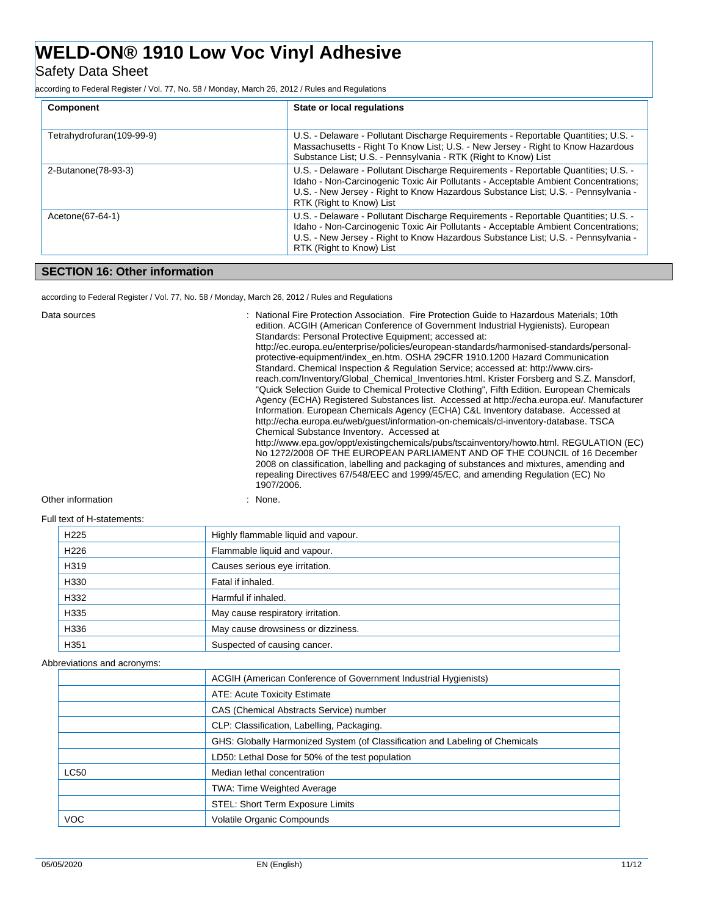## Safety Data Sheet

according to Federal Register / Vol. 77, No. 58 / Monday, March 26, 2012 / Rules and Regulations

| Component                 | State or local regulations                                                                                                                                                                                                                                                                |
|---------------------------|-------------------------------------------------------------------------------------------------------------------------------------------------------------------------------------------------------------------------------------------------------------------------------------------|
| Tetrahydrofuran(109-99-9) | U.S. - Delaware - Pollutant Discharge Requirements - Reportable Quantities; U.S. -<br>Massachusetts - Right To Know List; U.S. - New Jersey - Right to Know Hazardous<br>Substance List; U.S. - Pennsylvania - RTK (Right to Know) List                                                   |
| 2-Butanone (78-93-3)      | U.S. - Delaware - Pollutant Discharge Requirements - Reportable Quantities; U.S. -<br>Idaho - Non-Carcinogenic Toxic Air Pollutants - Acceptable Ambient Concentrations;<br>U.S. - New Jersey - Right to Know Hazardous Substance List; U.S. - Pennsylvania -<br>RTK (Right to Know) List |
| Acetone(67-64-1)          | U.S. - Delaware - Pollutant Discharge Requirements - Reportable Quantities; U.S. -<br>Idaho - Non-Carcinogenic Toxic Air Pollutants - Acceptable Ambient Concentrations;<br>U.S. - New Jersey - Right to Know Hazardous Substance List; U.S. - Pennsylvania -<br>RTK (Right to Know) List |

## **SECTION 16: Other information**

according to Federal Register / Vol. 77, No. 58 / Monday, March 26, 2012 / Rules and Regulations

| Data sources                   | : National Fire Protection Association. Fire Protection Guide to Hazardous Materials; 10th<br>edition. ACGIH (American Conference of Government Industrial Hygienists). European<br>Standards: Personal Protective Equipment; accessed at:<br>http://ec.europa.eu/enterprise/policies/european-standards/harmonised-standards/personal-<br>protective-equipment/index_en.htm. OSHA 29CFR 1910.1200 Hazard Communication<br>Standard. Chemical Inspection & Regulation Service: accessed at: http://www.cirs-<br>reach.com/Inventory/Global Chemical Inventories.html. Krister Forsberg and S.Z. Mansdorf,<br>"Quick Selection Guide to Chemical Protective Clothing", Fifth Edition. European Chemicals<br>Agency (ECHA) Registered Substances list. Accessed at http://echa.europa.eu/. Manufacturer<br>Information. European Chemicals Agency (ECHA) C&L Inventory database. Accessed at<br>http://echa.europa.eu/web/quest/information-on-chemicals/cl-inventory-database. TSCA<br>Chemical Substance Inventory. Accessed at<br>http://www.epa.gov/oppt/existingchemicals/pubs/tscainventory/howto.html. REGULATION (EC)<br>No 1272/2008 OF THE EUROPEAN PARLIAMENT AND OF THE COUNCIL of 16 December<br>2008 on classification, labelling and packaging of substances and mixtures, amending and<br>repealing Directives 67/548/EEC and 1999/45/EC, and amending Regulation (EC) No<br>1907/2006. |
|--------------------------------|-------------------------------------------------------------------------------------------------------------------------------------------------------------------------------------------------------------------------------------------------------------------------------------------------------------------------------------------------------------------------------------------------------------------------------------------------------------------------------------------------------------------------------------------------------------------------------------------------------------------------------------------------------------------------------------------------------------------------------------------------------------------------------------------------------------------------------------------------------------------------------------------------------------------------------------------------------------------------------------------------------------------------------------------------------------------------------------------------------------------------------------------------------------------------------------------------------------------------------------------------------------------------------------------------------------------------------------------------------------------------------------------------------|
| Other information              | : None.                                                                                                                                                                                                                                                                                                                                                                                                                                                                                                                                                                                                                                                                                                                                                                                                                                                                                                                                                                                                                                                                                                                                                                                                                                                                                                                                                                                               |
| $EU  $ tout of $U$ ototomonto: |                                                                                                                                                                                                                                                                                                                                                                                                                                                                                                                                                                                                                                                                                                                                                                                                                                                                                                                                                                                                                                                                                                                                                                                                                                                                                                                                                                                                       |

Full text of H-statements:

| H <sub>225</sub> | Highly flammable liquid and vapour. |
|------------------|-------------------------------------|
|                  |                                     |
| H <sub>226</sub> | Flammable liquid and vapour.        |
| H319             | Causes serious eye irritation.      |
| H330             | Fatal if inhaled.                   |
| H332             | Harmful if inhaled.                 |
| H335             | May cause respiratory irritation.   |
| H336             | May cause drowsiness or dizziness.  |
| H <sub>351</sub> | Suspected of causing cancer.        |

## Abbreviations and acronyms:

|             | ACGIH (American Conference of Government Industrial Hygienists)              |
|-------------|------------------------------------------------------------------------------|
|             | ATE: Acute Toxicity Estimate                                                 |
|             | CAS (Chemical Abstracts Service) number                                      |
|             | CLP: Classification, Labelling, Packaging.                                   |
|             | GHS: Globally Harmonized System (of Classification and Labeling of Chemicals |
|             | LD50: Lethal Dose for 50% of the test population                             |
| <b>LC50</b> | Median lethal concentration                                                  |
|             | <b>TWA: Time Weighted Average</b>                                            |
|             | STEL: Short Term Exposure Limits                                             |
| <b>VOC</b>  | <b>Volatile Organic Compounds</b>                                            |